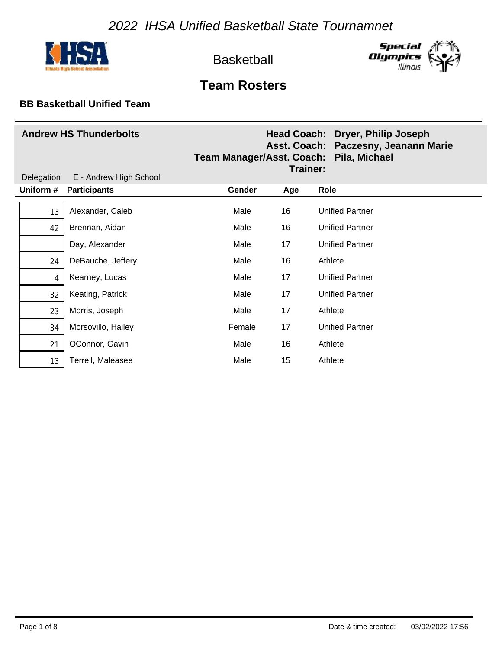



# **Team Rosters**

| <b>Andrew HS Thunderbolts</b><br>Delegation<br>E - Andrew High School |                     | Team Manager/Asst. Coach: Pila, Michael | Trainer: | Head Coach: Dryer, Philip Joseph<br>Asst. Coach: Paczesny, Jeanann Marie |
|-----------------------------------------------------------------------|---------------------|-----------------------------------------|----------|--------------------------------------------------------------------------|
| Uniform #                                                             | <b>Participants</b> | Gender                                  | Age      | Role                                                                     |
| 13                                                                    | Alexander, Caleb    | Male                                    | 16       | <b>Unified Partner</b>                                                   |
| 42                                                                    | Brennan, Aidan      | Male                                    | 16       | <b>Unified Partner</b>                                                   |
|                                                                       | Day, Alexander      | Male                                    | 17       | <b>Unified Partner</b>                                                   |
| 24                                                                    | DeBauche, Jeffery   | Male                                    | 16       | Athlete                                                                  |
| 4                                                                     | Kearney, Lucas      | Male                                    | 17       | <b>Unified Partner</b>                                                   |
| 32                                                                    | Keating, Patrick    | Male                                    | 17       | <b>Unified Partner</b>                                                   |
| 23                                                                    | Morris, Joseph      | Male                                    | 17       | Athlete                                                                  |
| 34                                                                    | Morsovillo, Hailey  | Female                                  | 17       | <b>Unified Partner</b>                                                   |
| 21                                                                    | OConnor, Gavin      | Male                                    | 16       | Athlete                                                                  |
| 13                                                                    | Terrell, Maleasee   | Male                                    | 15       | Athlete                                                                  |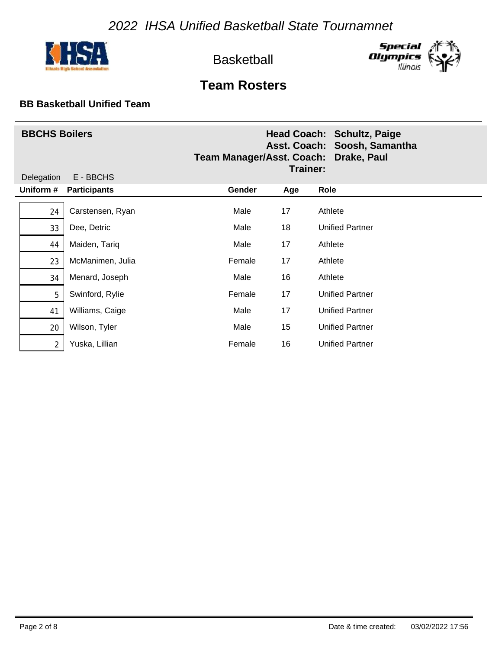



# **Team Rosters**

| <b>BBCHS Boilers</b><br>Delegation<br>E - BBCHS |                     | Team Manager/Asst. Coach: Drake, Paul<br>Trainer: |     | Head Coach: Schultz, Paige<br>Asst. Coach: Soosh, Samantha |
|-------------------------------------------------|---------------------|---------------------------------------------------|-----|------------------------------------------------------------|
| Uniform #                                       | <b>Participants</b> | Gender                                            | Age | Role                                                       |
| 24                                              | Carstensen, Ryan    | Male                                              | 17  | Athlete                                                    |
| 33                                              | Dee, Detric         | Male                                              | 18  | Unified Partner                                            |
| 44                                              | Maiden, Tariq       | Male                                              | 17  | Athlete                                                    |
| 23                                              | McManimen, Julia    | Female                                            | 17  | Athlete                                                    |
| 34                                              | Menard, Joseph      | Male                                              | 16  | Athlete                                                    |
| 5                                               | Swinford, Rylie     | Female                                            | 17  | <b>Unified Partner</b>                                     |
| 41                                              | Williams, Caige     | Male                                              | 17  | <b>Unified Partner</b>                                     |
| 20                                              | Wilson, Tyler       | Male                                              | 15  | <b>Unified Partner</b>                                     |
| 2                                               | Yuska, Lillian      | Female                                            | 16  | <b>Unified Partner</b>                                     |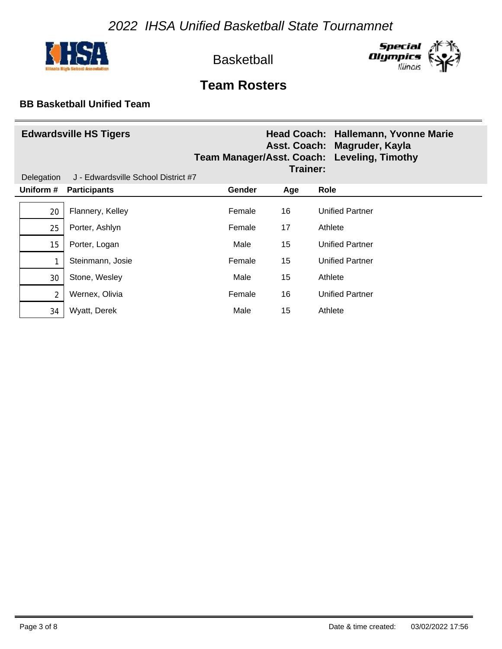



# **Team Rosters**

| Delegation     | <b>Edwardsville HS Tigers</b><br>J - Edwardsville School District #7 |        | Trainer: | Head Coach: Hallemann, Yvonne Marie<br>Asst. Coach: Magruder, Kayla<br>Team Manager/Asst. Coach: Leveling, Timothy |
|----------------|----------------------------------------------------------------------|--------|----------|--------------------------------------------------------------------------------------------------------------------|
| Uniform #      | <b>Participants</b>                                                  | Gender | Age      | Role                                                                                                               |
| 20             | Flannery, Kelley                                                     | Female | 16       | <b>Unified Partner</b>                                                                                             |
| 25             | Porter, Ashlyn                                                       | Female | 17       | Athlete                                                                                                            |
| 15             | Porter, Logan                                                        | Male   | 15       | <b>Unified Partner</b>                                                                                             |
| 1              | Steinmann, Josie                                                     | Female | 15       | <b>Unified Partner</b>                                                                                             |
| 30             | Stone, Wesley                                                        | Male   | 15       | Athlete                                                                                                            |
| $\overline{2}$ | Wernex, Olivia                                                       | Female | 16       | <b>Unified Partner</b>                                                                                             |
| 34             | Wyatt, Derek                                                         | Male   | 15       | Athlete                                                                                                            |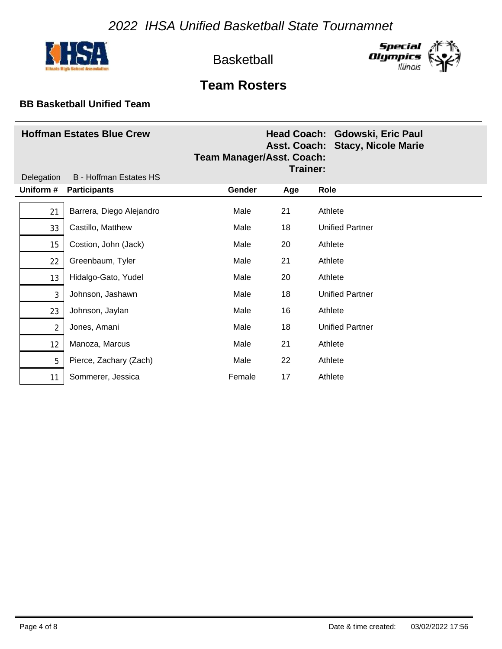



# **Team Rosters**

| <b>Hoffman Estates Blue Crew</b><br><b>B</b> - Hoffman Estates HS<br>Delegation |                          | <b>Team Manager/Asst. Coach:</b><br>Trainer: |     | Head Coach: Gdowski, Eric Paul<br>Asst. Coach: Stacy, Nicole Marie |
|---------------------------------------------------------------------------------|--------------------------|----------------------------------------------|-----|--------------------------------------------------------------------|
| Uniform #                                                                       | <b>Participants</b>      | Gender                                       | Age | Role                                                               |
| 21                                                                              | Barrera, Diego Alejandro | Male                                         | 21  | Athlete                                                            |
| 33                                                                              | Castillo, Matthew        | Male                                         | 18  | <b>Unified Partner</b>                                             |
| 15                                                                              | Costion, John (Jack)     | Male                                         | 20  | Athlete                                                            |
| 22                                                                              | Greenbaum, Tyler         | Male                                         | 21  | Athlete                                                            |
| 13                                                                              | Hidalgo-Gato, Yudel      | Male                                         | 20  | Athlete                                                            |
| 3                                                                               | Johnson, Jashawn         | Male                                         | 18  | <b>Unified Partner</b>                                             |
| 23                                                                              | Johnson, Jaylan          | Male                                         | 16  | Athlete                                                            |
| $\overline{2}$                                                                  | Jones, Amani             | Male                                         | 18  | <b>Unified Partner</b>                                             |
| 12                                                                              | Manoza, Marcus           | Male                                         | 21  | Athlete                                                            |
| 5                                                                               | Pierce, Zachary (Zach)   | Male                                         | 22  | Athlete                                                            |
| 11                                                                              | Sommerer, Jessica        | Female                                       | 17  | Athlete                                                            |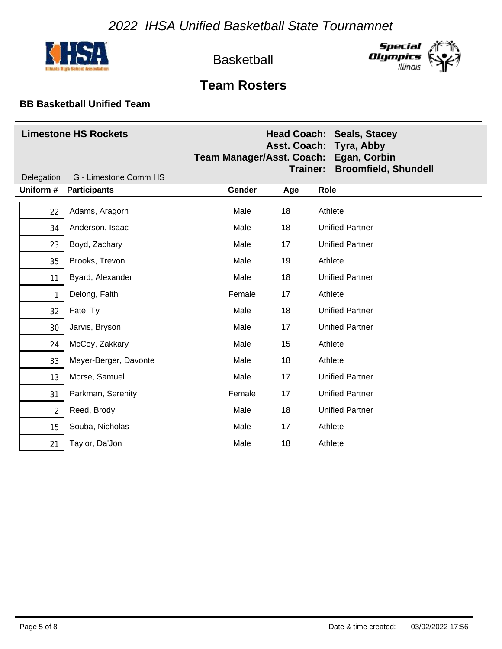



# **Team Rosters**

| <b>Limestone HS Rockets</b> |                       | Team Manager/Asst. Coach: Egan, Corbin<br>Trainer: |     | <b>Head Coach: Seals, Stacey</b><br>Asst. Coach: Tyra, Abby<br><b>Broomfield, Shundell</b> |
|-----------------------------|-----------------------|----------------------------------------------------|-----|--------------------------------------------------------------------------------------------|
| Delegation                  | G - Limestone Comm HS |                                                    |     |                                                                                            |
| Uniform #                   | <b>Participants</b>   | Gender                                             | Age | Role                                                                                       |
| 22                          | Adams, Aragorn        | Male                                               | 18  | Athlete                                                                                    |
| 34                          | Anderson, Isaac       | Male                                               | 18  | <b>Unified Partner</b>                                                                     |
| 23                          | Boyd, Zachary         | Male                                               | 17  | <b>Unified Partner</b>                                                                     |
| 35                          | Brooks, Trevon        | Male                                               | 19  | Athlete                                                                                    |
| 11                          | Byard, Alexander      | Male                                               | 18  | <b>Unified Partner</b>                                                                     |
| 1                           | Delong, Faith         | Female                                             | 17  | Athlete                                                                                    |
| 32                          | Fate, Ty              | Male                                               | 18  | <b>Unified Partner</b>                                                                     |
| 30                          | Jarvis, Bryson        | Male                                               | 17  | <b>Unified Partner</b>                                                                     |
| 24                          | McCoy, Zakkary        | Male                                               | 15  | Athlete                                                                                    |
| 33                          | Meyer-Berger, Davonte | Male                                               | 18  | Athlete                                                                                    |
| 13                          | Morse, Samuel         | Male                                               | 17  | <b>Unified Partner</b>                                                                     |
| 31                          | Parkman, Serenity     | Female                                             | 17  | <b>Unified Partner</b>                                                                     |
| $\overline{2}$              | Reed, Brody           | Male                                               | 18  | <b>Unified Partner</b>                                                                     |
| 15                          | Souba, Nicholas       | Male                                               | 17  | Athlete                                                                                    |
| 21                          | Taylor, Da'Jon        | Male                                               | 18  | Athlete                                                                                    |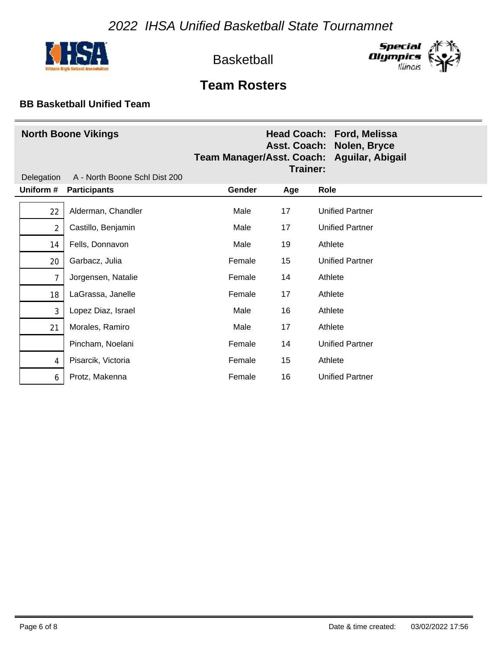



# **Team Rosters**

| <b>North Boone Vikings</b><br>A - North Boone Schl Dist 200<br>Delegation |                     | Team Manager/Asst. Coach: Aguilar, Abigail<br>Trainer: |     | Head Coach: Ford, Melissa<br>Asst. Coach: Nolen, Bryce |
|---------------------------------------------------------------------------|---------------------|--------------------------------------------------------|-----|--------------------------------------------------------|
| Uniform #                                                                 | <b>Participants</b> | Gender                                                 | Age | Role                                                   |
| 22                                                                        | Alderman, Chandler  | Male                                                   | 17  | <b>Unified Partner</b>                                 |
| $\overline{2}$                                                            | Castillo, Benjamin  | Male                                                   | 17  | <b>Unified Partner</b>                                 |
| 14                                                                        | Fells, Donnavon     | Male                                                   | 19  | Athlete                                                |
| 20                                                                        | Garbacz, Julia      | Female                                                 | 15  | <b>Unified Partner</b>                                 |
| $\overline{7}$                                                            | Jorgensen, Natalie  | Female                                                 | 14  | Athlete                                                |
| 18                                                                        | LaGrassa, Janelle   | Female                                                 | 17  | Athlete                                                |
| 3                                                                         | Lopez Diaz, Israel  | Male                                                   | 16  | Athlete                                                |
| 21                                                                        | Morales, Ramiro     | Male                                                   | 17  | Athlete                                                |
|                                                                           | Pincham, Noelani    | Female                                                 | 14  | <b>Unified Partner</b>                                 |
| 4                                                                         | Pisarcik, Victoria  | Female                                                 | 15  | Athlete                                                |
| 6                                                                         | Protz, Makenna      | Female                                                 | 16  | <b>Unified Partner</b>                                 |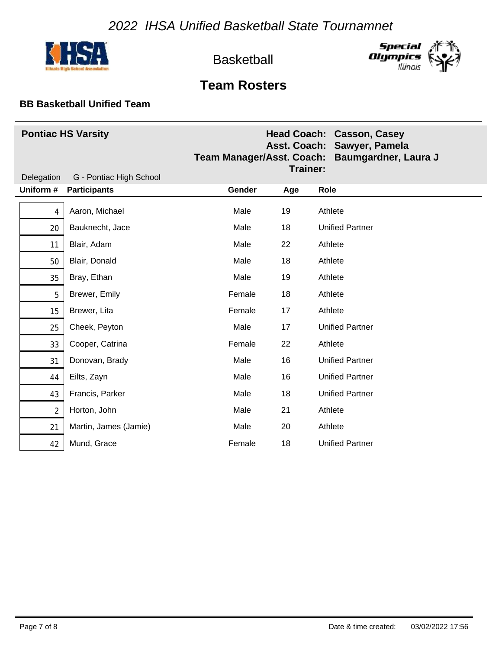



## **Team Rosters**

| <b>Pontiac HS Varsity</b> |                         | <b>Team Manager/Asst. Coach:</b><br>Trainer: |     | <b>Head Coach: Casson, Casey</b><br>Asst. Coach: Sawyer, Pamela<br>Baumgardner, Laura J |
|---------------------------|-------------------------|----------------------------------------------|-----|-----------------------------------------------------------------------------------------|
| Delegation                | G - Pontiac High School |                                              |     |                                                                                         |
| Uniform #                 | <b>Participants</b>     | Gender                                       | Age | Role                                                                                    |
| 4                         | Aaron, Michael          | Male                                         | 19  | Athlete                                                                                 |
| 20                        | Bauknecht, Jace         | Male                                         | 18  | <b>Unified Partner</b>                                                                  |
| 11                        | Blair, Adam             | Male                                         | 22  | Athlete                                                                                 |
| 50                        | Blair, Donald           | Male                                         | 18  | Athlete                                                                                 |
| 35                        | Bray, Ethan             | Male                                         | 19  | Athlete                                                                                 |
| 5                         | Brewer, Emily           | Female                                       | 18  | Athlete                                                                                 |
| 15                        | Brewer, Lita            | Female                                       | 17  | Athlete                                                                                 |
| 25                        | Cheek, Peyton           | Male                                         | 17  | <b>Unified Partner</b>                                                                  |
| 33                        | Cooper, Catrina         | Female                                       | 22  | Athlete                                                                                 |
| 31                        | Donovan, Brady          | Male                                         | 16  | <b>Unified Partner</b>                                                                  |
| 44                        | Eilts, Zayn             | Male                                         | 16  | <b>Unified Partner</b>                                                                  |
| 43                        | Francis, Parker         | Male                                         | 18  | <b>Unified Partner</b>                                                                  |
| $\overline{2}$            | Horton, John            | Male                                         | 21  | Athlete                                                                                 |
| 21                        | Martin, James (Jamie)   | Male                                         | 20  | Athlete                                                                                 |
| 42                        | Mund, Grace             | Female                                       | 18  | <b>Unified Partner</b>                                                                  |